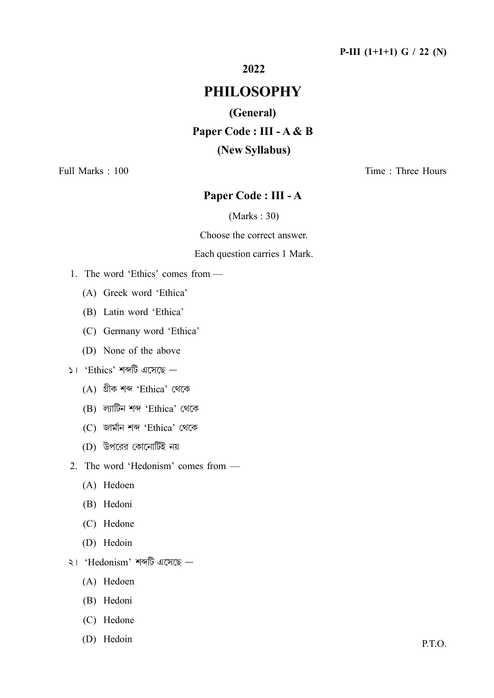2022

# **PHILOSOPHY**

# (General) Paper Code : III - A & B (New Syllabus)

Full Marks: 100

Time: Three Hours

# Paper Code: III - A

 $(Marks: 30)$ 

Choose the correct answer.

#### Each question carries 1 Mark.

- 1. The word 'Ethics' comes from
	- (A) Greek word 'Ethica'
	- (B) Latin word 'Ethica'
	- (C) Germany word 'Ethica'
	- (D) None of the above
- $\mathsf{S}$ । 'Ethics' শব্দটি এসেছে
	- (A) গ্ৰীক শব্দ 'Ethica' থেকে
	- (B) ল্যাটিন শব্দ 'Ethica' থেকে
	- (C) জার্মান শব্দ 'Ethica' থেকে
	- (D) উপরের কোনোটিই নয়
- 2. The word 'Hedonism' comes from -
	- (A) Hedoen
	- (B) Hedoni
	- (C) Hedone
	- (D) Hedoin
- $\leq$ । 'Hedonism' শব্দটি এসেছে
	- (A) Hedoen
	- (B) Hedoni
	- (C) Hedone
	- (D) Hedoin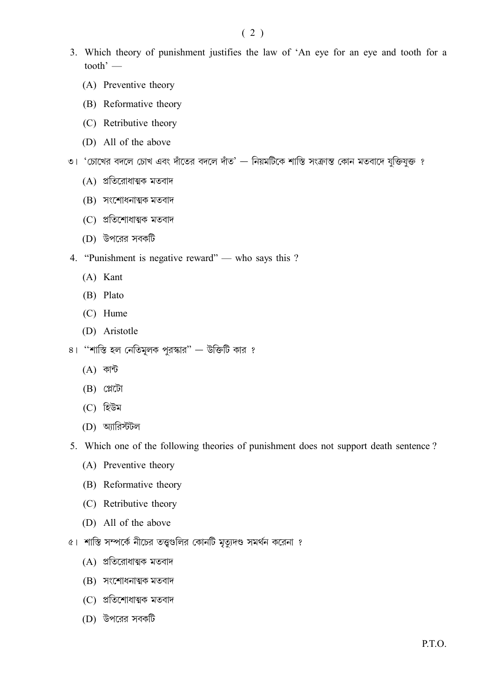- 3. Which theory of punishment justifies the law of 'An eye for an eye and tooth for a tooth' $-$ 
	- (A) Preventive theory
	- (B) Reformative theory
	- (C) Retributive theory
	- (D) All of the above
- ৩। 'চোখের বদলে চোখ এবং দাঁতের বদলে দাঁত' নিয়মটিকে শাস্তি সংক্রান্ত কোন মতবাদে যুক্তিযুক্ত ?
	- (A) প্রতিরোধাত্মক মতবাদ
	- (B) সংশোধনাত্মক মতবাদ
	- (C) প্ৰতিশোধাত্মক মতবাদ
	- (D) উপরের সবকটি
- 4. "Punishment is negative reward" who says this?
	- (A) Kant
	- (B) Plato
	- $(C)$  Hume
	- (D) Aristotle
- ৪। "শাস্তি হল নেতিমূলক পুরস্কার" উক্তিটি কার ?
	- $(A)$  কান্ট
	- $(B)$  প্লেটো
	- (C) হিউম
	- (D) অ্যারিস্টটল
- 5. Which one of the following theories of punishment does not support death sentence?
	- (A) Preventive theory
	- (B) Reformative theory
	- (C) Retributive theory
	- (D) All of the above
- ৫। শাস্তি সম্পর্কে নীচের তত্ত্বগুলির কোনটি মৃত্যুদণ্ড সমর্থন করেনা ?
	- (A) প্রতিরোধাত্মক মতবাদ
	- (B) সংশোধনাত্মক মতবাদ
	- (C) প্ৰতিশোধাত্মক মতবাদ
	- (D) উপরের সবকটি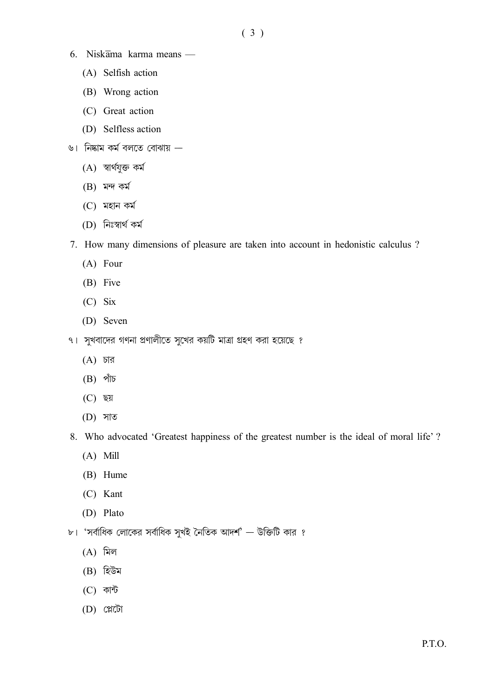- 6. Niskāma karma means
	- (A) Selfish action
	- (B) Wrong action
	- (C) Great action
	- (D) Selfless action
- ৬। নিষ্কাম কর্ম বলতে বোঝায়
	- $(A)$  স্বাৰ্থযুক্ত কৰ্ম
	- $(B)$  মন্দ কৰ্ম
	- $(C)$  মহান কৰ্ম
	- (D) নিঃস্বার্থ কর্ম
- 7. How many dimensions of pleasure are taken into account in hedonistic calculus ?
	- $(A)$  Four
	- (B) Five
	- $(C)$  Six
	- (D) Seven
- ৭। সুখবাদের গণনা প্রণালীতে সুখের কয়টি মাত্রা গ্রহণ করা হয়েছে ?
	- $(A)$  চার
	- $(B)$  পাঁচ
	- $(C)$  ছয়
	- $(D)$  সাত
- 8. Who advocated 'Greatest happiness of the greatest number is the ideal of moral life'?
	- $(A)$  Mill
	- (B) Hume
	- (C) Kant
	- (D) Plato
- ৮। 'সর্বাধিক লোকের সর্বাধিক সুখই নৈতিক আদর্শ' উক্তিটি কার ?
	- $(A)$  মিল
	- $(B)$  হিউম
	- $(C)$  কান্ট
	- $(D)$  প্লেটো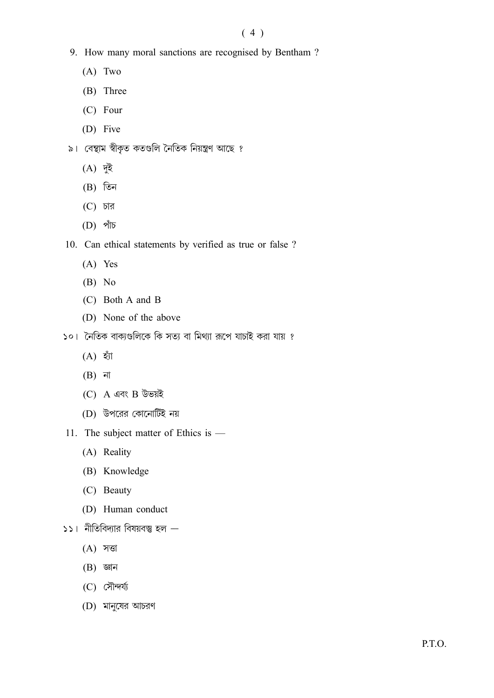## $(4)$

- 9. How many moral sanctions are recognised by Bentham?
	- $(A)$  Two
	- (B) Three
	- (C) Four
	- (D) Five
- ৯। বেন্থাম স্বীকৃত কতগুলি নৈতিক নিয়ন্ত্ৰণ আছে ?
	- $(A)$  দুই
	- $(B)$  তিন
	- $(C)$  চার
	- $(D)$  পাঁচ
- 10. Can ethical statements by verified as true or false ?
	- $(A)$  Yes
	- $(B)$  No
	- (C) Both A and B
	- (D) None of the above
- ১০। নৈতিক বাক্যগুলিকে কি সত্য বা মিথ্যা রূপে যাচাই করা যায় ?
	- $(A)$  হাঁ
	- $(B)$  না
	- $(C)$  A এবং B উভয়ই
	- (D) উপরের কোনোটিই নয়
- 11. The subject matter of Ethics is -
	- (A) Reality
	- (B) Knowledge
	- (C) Beauty
	- (D) Human conduct
- $551$  নীতিবিদ্যার বিষয়বস্তু হল  $-$ 
	- $(A)$  সত্তা
	- $(B)$  জ্ঞান
	- $(C)$  সৌন্দৰ্য্য
	- (D) মানুষের আচরণ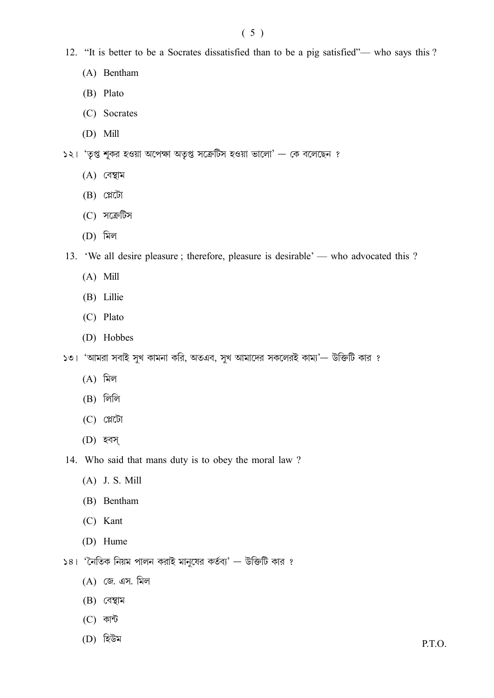- 12. "It is better to be a Socrates dissatisfied than to be a pig satisfied"— who says this ?
	- (A) Bentham
	- (B) Plato
	- (C) Socrates
	- $(D)$  Mill
- $531$  'তৃপ্ত শূকর হওয়া অপেক্ষা অতৃপ্ত সক্রেটিস হওয়া ভালো' কে বলেছেন ?
	- $(A)$  বেম্বাম
	- $(B)$  ( $\mathbb{C}$ )
	- (C) সক্ৰেটিস
	- $(D)$  মিল
- 13. 'We all desire pleasure; therefore, pleasure is desirable' who advocated this?
	- $(A)$  Mill
	- (B) Lillie
	- (C) Plato
	- (D) Hobbes
- ১৩। 'আমরা সবাই সুখ কামনা করি, অতএব, সুখ আমাদের সকলেরই কাম্য'— উক্তিটি কার ?
	- $(A)$  মিল
	- $(B)$  লিলি
	- $(C)$  প্লেটো
	- (D) হবস
- 14. Who said that mans duty is to obey the moral law?
	- $(A)$  J. S. Mill
	- (B) Bentham
	- (C) Kant
	- (D) Hume
- $58 3$  নিতিক নিয়ম পালন করাই মানুষের কর্তব্য' উক্তিটি কার ?
	- (A) জে. এস. মিল
	- $(B)$  বেম্বাম
	- $(C)$  কান্ট
	- (D) হিউম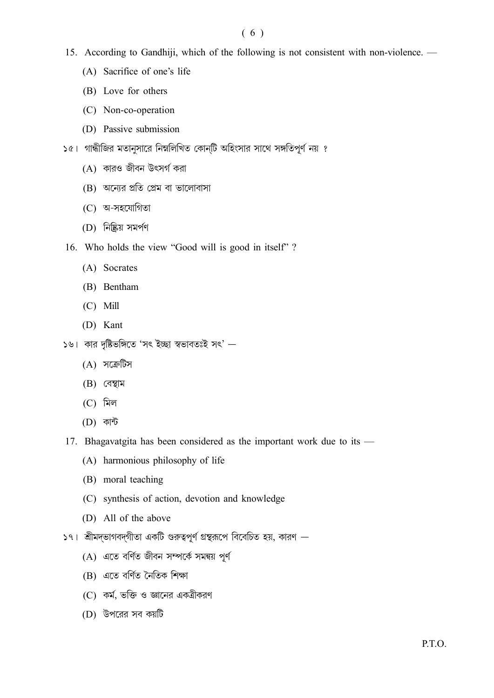### $(6)$

- 15. According to Gandhiji, which of the following is not consistent with non-violence.
	- (A) Sacrifice of one's life
	- (B) Love for others
	- (C) Non-co-operation
	- (D) Passive submission
- ১৫। গান্ধীজির মতানুসারে নিম্নলিখিত কোন্টি অহিংসার সাথে সঙ্গতিপূর্ণ নয় ?
	- $(A)$  কারও জীবন উৎসর্গ করা
	- (B) অন্যের প্রতি প্রেম বা ভালোবাসা
	- (C) অ-সহযোগিতা
	- (D) নিষ্কিয় সমৰ্পণ
- 16. Who holds the view "Good will is good in itself"?
	- (A) Socrates
	- (B) Bentham
	- $(C)$  Mill
	- (D) Kant
- ১৬। কার দৃষ্টিভঙ্গিতে 'সৎ ইচ্ছা স্বভাবতঃই সৎ' -
	- (A) সক্ৰেটিস
	- $(B)$  বেম্বাম
	- $(C)$  মিল
	- (D) কান্ট
- 17. Bhagavatgita has been considered as the important work due to its
	- (A) harmonious philosophy of life
	- (B) moral teaching
	- (C) synthesis of action, devotion and knowledge
	- (D) All of the above
- $|S_1|$  শ্রীমদ্ভাগবদ্গীতা একটি গুরুত্বপূর্ণ গ্রন্থরূপে বিবেচিত হয়, কারণ  $-$ 
	- (A) এতে বৰ্ণিত জীবন সম্পৰ্কে সমন্বয় পূৰ্ণ
	- (B) এতে বৰ্ণিত নৈতিক শিক্ষা
	- $(C)$  কর্ম, ভক্তি ও জ্ঞানের একত্রীকরণ
	- (D) উপরের সব কয়টি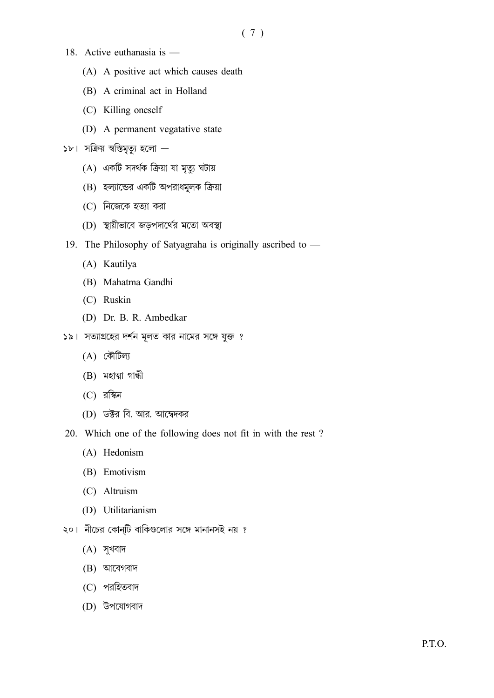- 18. Active euthanasia is
	- (A) A positive act which causes death
	- (B) A criminal act in Holland
	- (C) Killing oneself
	- (D) A permanent vegatative state
- ১৮। সক্রিয় স্বস্তিমৃত্যু হলো
	- (A) একটি সদর্থক ক্রিয়া যা মৃত্যু ঘটায়
	- (B) হল্যান্ডের একটি অপরাধমূলক ক্রিয়া
	- $(C)$  নিজেকে হত্যা করা
	- (D) স্থায়ীভাবে জড়পদার্থের মতো অবস্থা
- 19. The Philosophy of Satyagraha is originally ascribed to -
	- (A) Kautilya
	- (B) Mahatma Gandhi
	- (C) Ruskin
	- (D) Dr. B. R. Ambedkar
- ১৯। সত্যাগ্রহের দর্শন মূলত কার নামের সঙ্গে যুক্ত ?
	- $(A)$  কৌটিল্য
	- $(B)$  মহাত্মা গান্ধী
	- $(C)$  রস্কিন
	- (D) ডক্টর বি. আর. আম্বেদকর
- 20. Which one of the following does not fit in with the rest?
	- (A) Hedonism
	- (B) Emotivism
	- (C) Altruism
	- (D) Utilitarianism
- ২০। নীচের কোন্টি বাকিগুলোর সঙ্গে মানানসই নয় ?
	- $(A)$  সুখবাদ
	- $(B)$  আবেগবাদ
	- (C) পরহিতবাদ
	- (D) উপযোগবাদ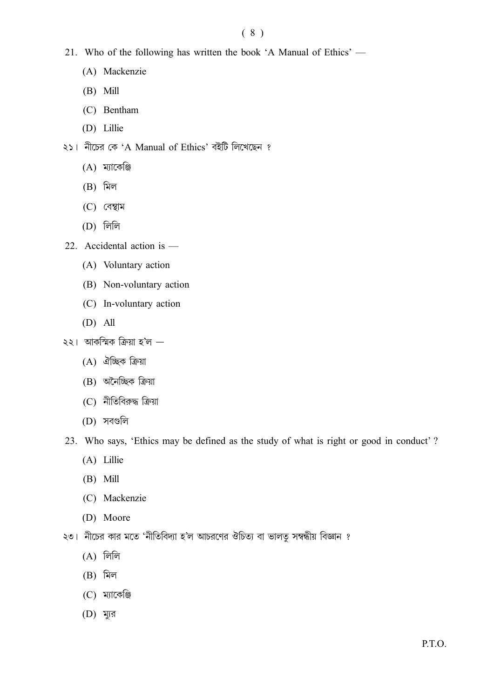## $(8)$

- 21. Who of the following has written the book 'A Manual of Ethics'
	- (A) Mackenzie
	- $(B)$  Mill
	- (C) Bentham
	- (D) Lillie
- ২১। নীচের কে 'A Manual of Ethics' বইটি লিখেছেন ?
	- $(A)$  ম্যাকেঞ্জি
	- $(B)$  মিল
	- $(C)$  বেম্বাম
	- $(D)$  লিলি
- 22. Accidental action is -
	- (A) Voluntary action
	- (B) Non-voluntary action
	- (C) In-voluntary action
	- $(D)$  All
- $\lambda$ २। আকস্মিক ক্রিয়া হ'ল  $-$ 
	- (A) ঐচ্ছিক ক্ৰিয়া
	- $(B)$  অনৈচ্ছিক ক্ৰিয়া
	- $(C)$  নীতিবিরুদ্ধ ক্রিয়া
	- (D) সবগুলি
- 23. Who says, 'Ethics may be defined as the study of what is right or good in conduct'?
	- (A) Lillie
	- $(B)$  Mill
	- (C) Mackenzie
	- (D) Moore
- ২৩। নীচের কার মতে 'নীতিবিদ্যা হ'ল আচরণের ঔচিত্য বা ভালতু সম্বন্ধীয় বিজ্ঞান ?
	- $(A)$  লিলি
	- $(B)$  মিল
	- $(C)$  ম্যাকেঞ্জি
	- (D) ম্যুর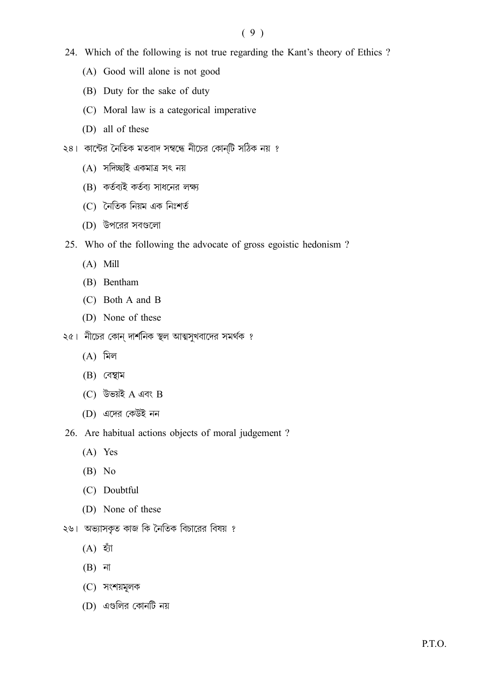- 24. Which of the following is not true regarding the Kant's theory of Ethics ?
	- (A) Good will alone is not good
	- (B) Duty for the sake of duty
	- (C) Moral law is a categorical imperative
	- (D) all of these
- ২৪। কান্টের নৈতিক মতবাদ সম্বন্ধে নীচের কোন্টি সঠিক নয় ?
	- (A) সদিচ্ছাই একমাত্র সৎ নয়
	- (B) কর্তব্যই কর্তব্য সাধনের লক্ষ্য
	- (C) নৈতিক নিয়ম এক নিঃশর্ত
	- (D) উপরের সবগুলো
- 25. Who of the following the advocate of gross egoistic hedonism?
	- $(A)$  Mill
	- (B) Bentham
	- (C) Both A and B
	- (D) None of these
- ২৫। নীচের কোন দার্শনিক স্থল আত্মসুখবাদের সমর্থক ?
	- $(A)$  মিল
	- $(B)$  বেম্বাম
	- (C) উভয়ই A এবং B
	- (D) এদের কেউই নন

26. Are habitual actions objects of moral judgement?

- $(A)$  Yes
- $(B)$  No
- (C) Doubtful
- (D) None of these
- ২৬। অভ্যাসকৃত কাজ কি নৈতিক বিচারের বিষয় ?
	- $(A)$  হাঁ
	- $(B)$  না
	- (C) সংশয়মূলক
	- $(D)$  এগুলির কোনটি নয়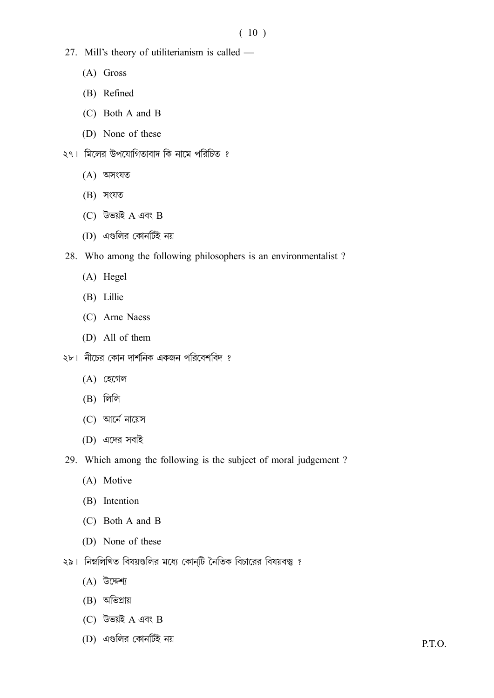- 27. Mill's theory of utiliterianism is called
	- $(A)$  Gross
	- (B) Refined
	- $(C)$  Both A and B
	- (D) None of these
- ২৭। মিলের উপযোগিতাবাদ কি নামে পরিচিত ?
	- $(A)$  অসংযত
	- $(B)$  সংযত
	- $(C)$  উভয়ই A এবং B
	- (D) এগুলির কোনটিই নয়
- 28. Who among the following philosophers is an environmentalist?
	- $(A)$  Hegel
	- (B) Lillie
	- (C) Arne Naess
	- (D) All of them
- ২৮। নীচের কোন দার্শনিক একজন পরিবেশবিদ ?
	- $(A)$  হেগেল
	- $(B)$  লিলি
	- (C) আর্নে নায়েস
	- (D) এদের সবাই
- 29. Which among the following is the subject of moral judgement?
	- (A) Motive
	- (B) Intention
	- $(C)$  Both A and B
	- (D) None of these
- ২৯। নিম্নলিখিত বিষয়গুলির মধ্যে কোনটি নৈতিক বিচারের বিষয়বস্তু ?
	- $(A)$  উদ্দেশ্য
	- $(B)$  অভিপ্ৰায়
	- (C) উভয়ই  $A$  এবং  $B$
	- (D) এগুলির কোনটিই নয়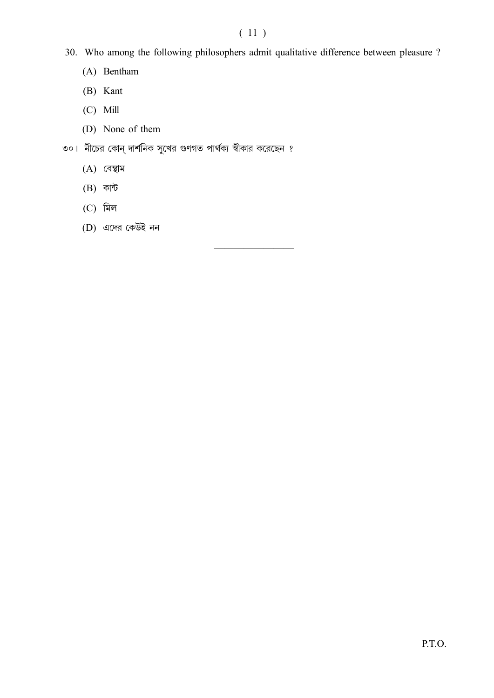# $(11)$

- 30. Who among the following philosophers admit qualitative difference between pleasure ?
	- (A) Bentham
	- (B) Kant
	- $(C)$  Mill
	- (D) None of them
- ৩০। নীচের কোন্ দার্শনিক সুখের গুণগত পার্থক্য স্বীকার করেছেন ?
	- $(A)$  বেম্বাম
	- $(B)$  কান্ট
	- $(C)$  মিল
	- (D) এদের কেউই নন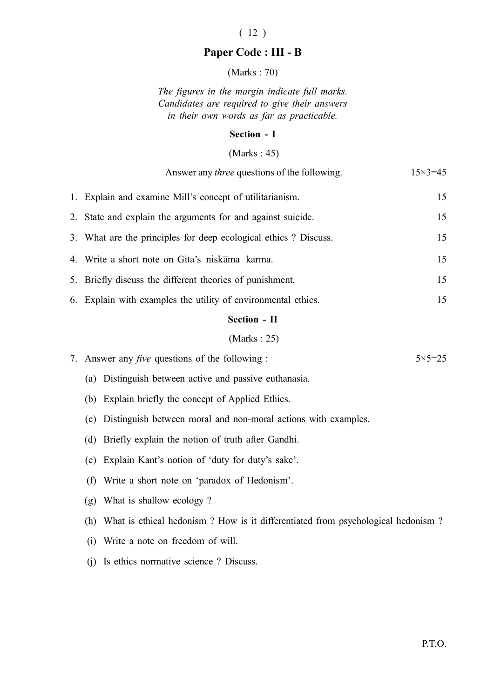# ( 12 )

# Paper Code : III - B

(Marks : 70)

The figures in the margin indicate full marks. Candidates are required to give their answers in their own words as far as practicable.

#### Section - I

#### (Marks : 45)

|    | Answer any <i>three</i> questions of the following.                   | $15 \times 3 = 45$ |
|----|-----------------------------------------------------------------------|--------------------|
|    | 1. Explain and examine Mill's concept of utilitarianism.              | 15                 |
| 2. | State and explain the arguments for and against suicide.              | 15                 |
|    | 3. What are the principles for deep ecological ethics? Discuss.       | 15                 |
|    | 4. Write a short note on Gita's niskama karma.                        | 15                 |
|    | 5. Briefly discuss the different theories of punishment.              | 15                 |
|    | 6. Explain with examples the utility of environmental ethics.         | 15                 |
|    | Section - II                                                          |                    |
|    | (Marks: 25)                                                           |                    |
|    | 7. Answer any <i>five</i> questions of the following :                | $5 \times 5 = 25$  |
|    | (a) Distinguish between active and passive euthanasia.                |                    |
|    | (b) Explain briefly the concept of Applied Ethics.                    |                    |
|    | Distinguish between moral and non-moral actions with examples.<br>(c) |                    |
|    | Briefly explain the notion of truth after Gandhi.<br>(d)              |                    |
|    | Explain Kant's notion of 'duty for duty's sake'.<br>(e)               |                    |
|    | Write a short note on 'paradox of Hedonism'.<br>(f)                   |                    |
|    | What is shallow ecology?<br>(g)                                       |                    |
|    |                                                                       |                    |

- (h) What is ethical hedonism ? How is it differentiated from psychological hedonism ?
- (i) Write a note on freedom of will.
- (j) Is ethics normative science ? Discuss.